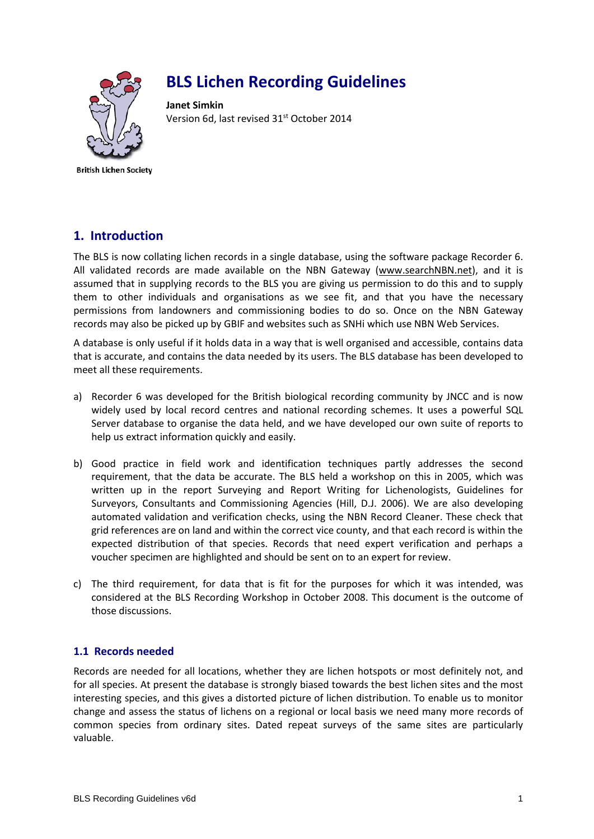

# **BLS Lichen Recording Guidelines**

**Janet Simkin** Version 6d, last revised 31<sup>st</sup> October 2014

**British Lichen Society** 

# **1. Introduction**

The BLS is now collating lichen records in a single database, using the software package Recorder 6. All validated records are made available on the NBN Gateway (www.searchNBN.net), and it is assumed that in supplying records to the BLS you are giving us permission to do this and to supply them to other individuals and organisations as we see fit, and that you have the necessary permissions from landowners and commissioning bodies to do so. Once on the NBN Gateway records may also be picked up by GBIF and websites such as SNHi which use NBN Web Services.

A database is only useful if it holds data in a way that is well organised and accessible, contains data that is accurate, and contains the data needed by its users. The BLS database has been developed to meet all these requirements.

- a) Recorder 6 was developed for the British biological recording community by JNCC and is now widely used by local record centres and national recording schemes. It uses a powerful SQL Server database to organise the data held, and we have developed our own suite of reports to help us extract information quickly and easily.
- b) Good practice in field work and identification techniques partly addresses the second requirement, that the data be accurate. The BLS held a workshop on this in 2005, which was written up in the report Surveying and Report Writing for Lichenologists, Guidelines for Surveyors, Consultants and Commissioning Agencies (Hill, D.J. 2006). We are also developing automated validation and verification checks, using the NBN Record Cleaner. These check that grid references are on land and within the correct vice county, and that each record is within the expected distribution of that species. Records that need expert verification and perhaps a voucher specimen are highlighted and should be sent on to an expert for review.
- c) The third requirement, for data that is fit for the purposes for which it was intended, was considered at the BLS Recording Workshop in October 2008. This document is the outcome of those discussions.

#### **1.1 Records needed**

Records are needed for all locations, whether they are lichen hotspots or most definitely not, and for all species. At present the database is strongly biased towards the best lichen sites and the most interesting species, and this gives a distorted picture of lichen distribution. To enable us to monitor change and assess the status of lichens on a regional or local basis we need many more records of common species from ordinary sites. Dated repeat surveys of the same sites are particularly valuable.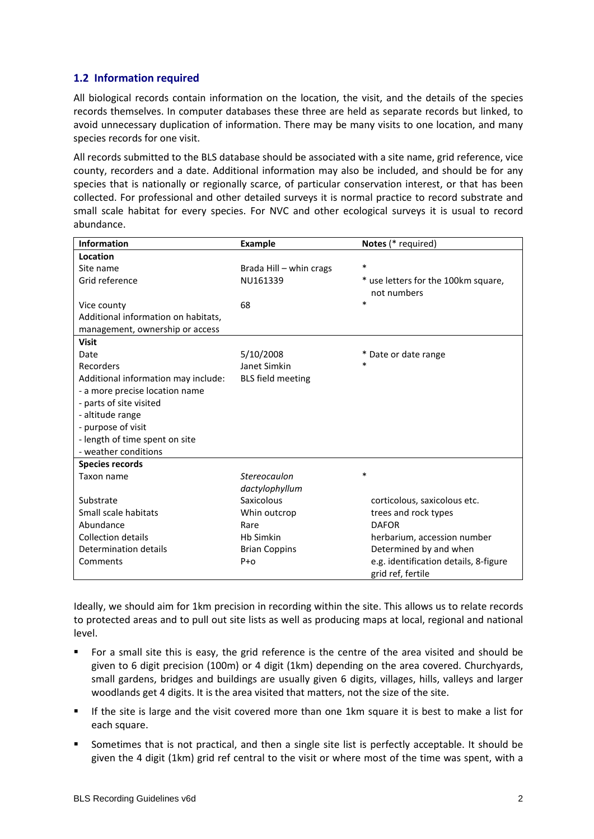#### **1.2 Information required**

All biological records contain information on the location, the visit, and the details of the species records themselves. In computer databases these three are held as separate records but linked, to avoid unnecessary duplication of information. There may be many visits to one location, and many species records for one visit.

All records submitted to the BLS database should be associated with a site name, grid reference, vice county, recorders and a date. Additional information may also be included, and should be for any species that is nationally or regionally scarce, of particular conservation interest, or that has been collected. For professional and other detailed surveys it is normal practice to record substrate and small scale habitat for every species. For NVC and other ecological surveys it is usual to record abundance.

| <b>Information</b>                  | <b>Example</b>           | Notes (* required)                                         |
|-------------------------------------|--------------------------|------------------------------------------------------------|
| Location                            |                          |                                                            |
| Site name                           | Brada Hill - whin crags  | $\ast$                                                     |
| Grid reference                      | NU161339                 | * use letters for the 100km square,<br>not numbers         |
| Vice county                         | 68                       | $\ast$                                                     |
| Additional information on habitats, |                          |                                                            |
| management, ownership or access     |                          |                                                            |
| <b>Visit</b>                        |                          |                                                            |
| Date                                | 5/10/2008                | * Date or date range                                       |
| Recorders                           | Janet Simkin             | $\ast$                                                     |
| Additional information may include: | <b>BLS</b> field meeting |                                                            |
| - a more precise location name      |                          |                                                            |
| - parts of site visited             |                          |                                                            |
| - altitude range                    |                          |                                                            |
| - purpose of visit                  |                          |                                                            |
| - length of time spent on site      |                          |                                                            |
| - weather conditions                |                          |                                                            |
| <b>Species records</b>              |                          |                                                            |
| Taxon name                          | Stereocaulon             | $\ast$                                                     |
|                                     | dactylophyllum           |                                                            |
| Substrate                           | Saxicolous               | corticolous, saxicolous etc.                               |
| Small scale habitats                | Whin outcrop             | trees and rock types                                       |
| Abundance                           | Rare                     | <b>DAFOR</b>                                               |
| <b>Collection details</b>           | <b>Hb Simkin</b>         | herbarium, accession number                                |
| Determination details               | <b>Brian Coppins</b>     | Determined by and when                                     |
| Comments                            | $P + O$                  | e.g. identification details, 8-figure<br>grid ref, fertile |

Ideally, we should aim for 1km precision in recording within the site. This allows us to relate records to protected areas and to pull out site lists as well as producing maps at local, regional and national level.

- For a small site this is easy, the grid reference is the centre of the area visited and should be given to 6 digit precision (100m) or 4 digit (1km) depending on the area covered. Churchyards, small gardens, bridges and buildings are usually given 6 digits, villages, hills, valleys and larger woodlands get 4 digits. It is the area visited that matters, not the size of the site.
- If the site is large and the visit covered more than one 1km square it is best to make a list for each square.
- Sometimes that is not practical, and then a single site list is perfectly acceptable. It should be given the 4 digit (1km) grid ref central to the visit or where most of the time was spent, with a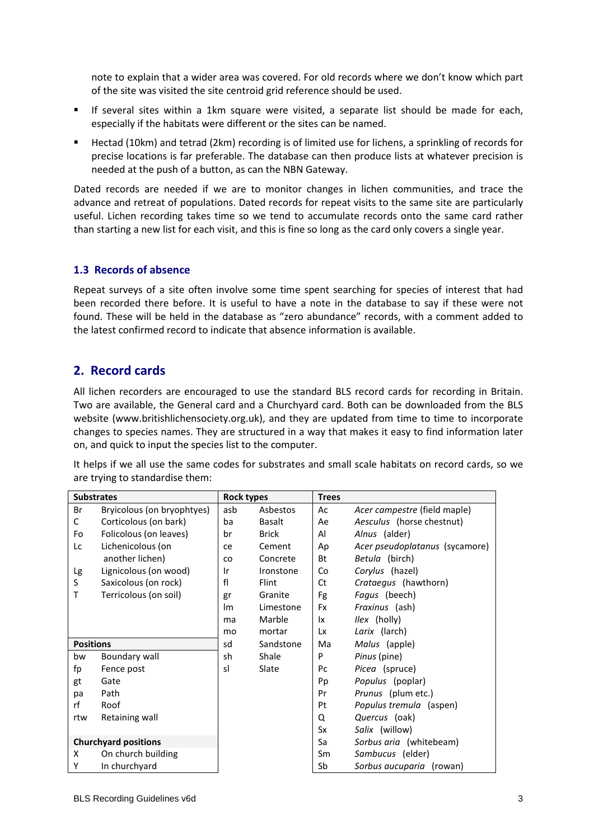note to explain that a wider area was covered. For old records where we don't know which part of the site was visited the site centroid grid reference should be used.

- If several sites within a 1km square were visited, a separate list should be made for each, especially if the habitats were different or the sites can be named.
- Hectad (10km) and tetrad (2km) recording is of limited use for lichens, a sprinkling of records for precise locations is far preferable. The database can then produce lists at whatever precision is needed at the push of a button, as can the NBN Gateway.

Dated records are needed if we are to monitor changes in lichen communities, and trace the advance and retreat of populations. Dated records for repeat visits to the same site are particularly useful. Lichen recording takes time so we tend to accumulate records onto the same card rather than starting a new list for each visit, and this is fine so long as the card only covers a single year.

#### **1.3 Records of absence**

Repeat surveys of a site often involve some time spent searching for species of interest that had been recorded there before. It is useful to have a note in the database to say if these were not found. These will be held in the database as "zero abundance" records, with a comment added to the latest confirmed record to indicate that absence information is available.

## **2. Record cards**

All lichen recorders are encouraged to use the standard BLS record cards for recording in Britain. Two are available, the General card and a Churchyard card. Both can be downloaded from the BLS website (www.britishlichensociety.org.uk), and they are updated from time to time to incorporate changes to species names. They are structured in a way that makes it easy to find information later on, and quick to input the species list to the computer.

It helps if we all use the same codes for substrates and small scale habitats on record cards, so we are trying to standardise them:

| <b>Substrates</b> |                             | <b>Rock types</b> |               | <b>Trees</b> |                                     |
|-------------------|-----------------------------|-------------------|---------------|--------------|-------------------------------------|
| Br                | Bryicolous (on bryophtyes)  | asb               | Asbestos      | Ac           | <i>Acer campestre (field maple)</i> |
| С                 | Corticolous (on bark)       | ba                | <b>Basalt</b> | Ae           | Aesculus (horse chestnut)           |
| Fo                | Folicolous (on leaves)      | br                | <b>Brick</b>  | Al           | Alnus (alder)                       |
| Lc                | Lichenicolous (on           | ce                | Cement        | Ap           | Acer pseudoplatanus (sycamore)      |
|                   | another lichen)             | <b>CO</b>         | Concrete      | Bt           | Betula (birch)                      |
| Lg                | Lignicolous (on wood)       | ١r                | Ironstone     | Co           | Corylus (hazel)                     |
| S                 | Saxicolous (on rock)        | fl                | Flint         | Ct           | Crataegus (hawthorn)                |
| т                 | Terricolous (on soil)       | gr                | Granite       | Fg           | Fagus (beech)                       |
|                   |                             | Im                | Limestone     | Fx           | <i>Fraxinus</i> (ash)               |
|                   |                             | ma                | Marble        | lx.          | <i>llex</i> (holly)                 |
|                   |                             | mo                | mortar        | Lx           | Larix (larch)                       |
| <b>Positions</b>  |                             | sd                | Sandstone     | Ma           | Malus (apple)                       |
| bw                | Boundary wall               | sh                | Shale         | P            | Pinus (pine)                        |
| fp                | Fence post                  | sl                | Slate         | Pс           | Picea (spruce)                      |
| gt                | Gate                        |                   |               | Pp           | Populus (poplar)                    |
| pa                | Path                        |                   |               | Pr           | Prunus (plum etc.)                  |
| rf                | Roof                        |                   |               | Pt           | Populus tremula (aspen)             |
| rtw               | Retaining wall              |                   |               | Q            | Quercus (oak)                       |
|                   |                             |                   |               | Sx           | Salix (willow)                      |
|                   | <b>Churchyard positions</b> |                   |               | Sa           | Sorbus aria (whitebeam)             |
| X                 | On church building          |                   |               | Sm           | Sambucus (elder)                    |
| Υ                 | In churchyard               |                   |               | Sb           | Sorbus aucuparia (rowan)            |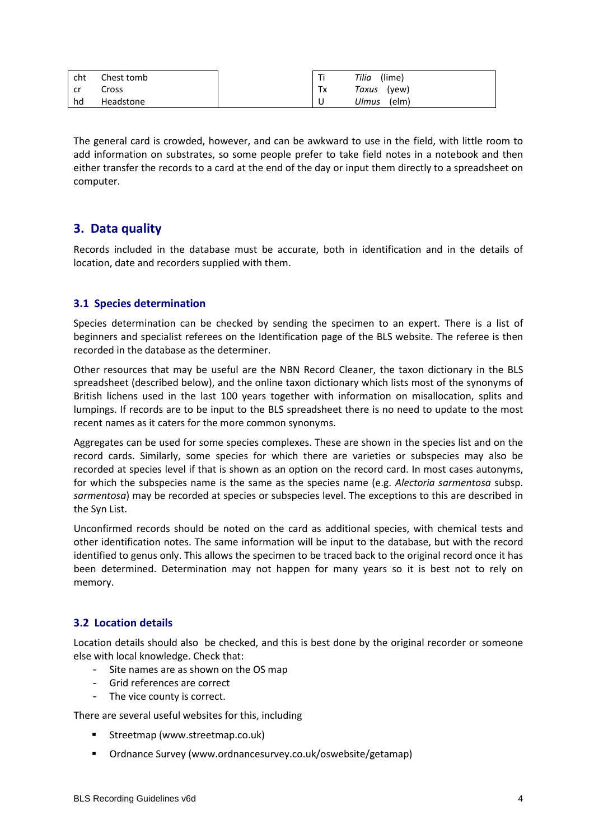| cht | Chest tomb | ÷  | (lime)<br>Tilia |
|-----|------------|----|-----------------|
| cr  | Cross      | Tx | Taxus (yew)     |
| hd  | Headstone  |    | Ulmus<br>(elm)  |

The general card is crowded, however, and can be awkward to use in the field, with little room to add information on substrates, so some people prefer to take field notes in a notebook and then either transfer the records to a card at the end of the day or input them directly to a spreadsheet on computer.

# **3. Data quality**

Records included in the database must be accurate, both in identification and in the details of location, date and recorders supplied with them.

#### **3.1 Species determination**

Species determination can be checked by sending the specimen to an expert. There is a list of beginners and specialist referees on the Identification page of the BLS website. The referee is then recorded in the database as the determiner.

Other resources that may be useful are the NBN Record Cleaner, the taxon dictionary in the BLS spreadsheet (described below), and the online taxon dictionary which lists most of the synonyms of British lichens used in the last 100 years together with information on misallocation, splits and lumpings. If records are to be input to the BLS spreadsheet there is no need to update to the most recent names as it caters for the more common synonyms.

Aggregates can be used for some species complexes. These are shown in the species list and on the record cards. Similarly, some species for which there are varieties or subspecies may also be recorded at species level if that is shown as an option on the record card. In most cases autonyms, for which the subspecies name is the same as the species name (e.g. *Alectoria sarmentosa* subsp. *sarmentosa*) may be recorded at species or subspecies level. The exceptions to this are described in the Syn List.

Unconfirmed records should be noted on the card as additional species, with chemical tests and other identification notes. The same information will be input to the database, but with the record identified to genus only. This allows the specimen to be traced back to the original record once it has been determined. Determination may not happen for many years so it is best not to rely on memory.

#### **3.2 Location details**

Location details should also be checked, and this is best done by the original recorder or someone else with local knowledge. Check that:

- Site names are as shown on the OS map
- Grid references are correct
- The vice county is correct.

There are several useful websites for this, including

- **Streetmap [\(www.streetmap.co.uk\)](http://www.streetmap.co.uk/)**
- Ordnance Survey [\(www.ordnancesurvey.co.uk/oswebsite/getamap\)](http://www.ordnancesurvey.co.uk/oswebsite/getamap)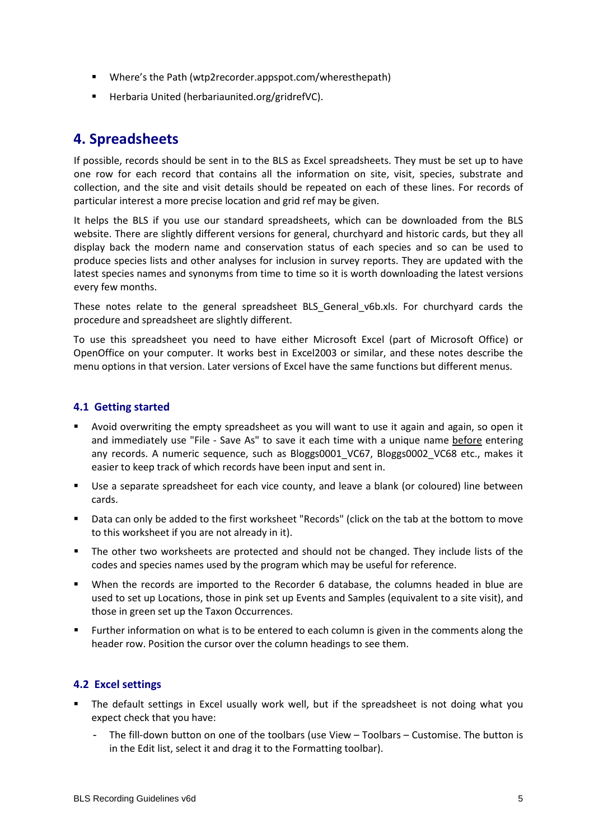- Where's the Path (wtp2recorder.appspot.com/wheresthepath)
- Herbaria United (herbariaunited.org/gridrefVC).

# **4. Spreadsheets**

If possible, records should be sent in to the BLS as Excel spreadsheets. They must be set up to have one row for each record that contains all the information on site, visit, species, substrate and collection, and the site and visit details should be repeated on each of these lines. For records of particular interest a more precise location and grid ref may be given.

It helps the BLS if you use our standard spreadsheets, which can be downloaded from the BLS website. There are slightly different versions for general, churchyard and historic cards, but they all display back the modern name and conservation status of each species and so can be used to produce species lists and other analyses for inclusion in survey reports. They are updated with the latest species names and synonyms from time to time so it is worth downloading the latest versions every few months.

These notes relate to the general spreadsheet BLS\_General\_v6b.xls. For churchyard cards the procedure and spreadsheet are slightly different.

To use this spreadsheet you need to have either Microsoft Excel (part of Microsoft Office) or OpenOffice on your computer. It works best in Excel2003 or similar, and these notes describe the menu options in that version. Later versions of Excel have the same functions but different menus.

#### **4.1 Getting started**

- Avoid overwriting the empty spreadsheet as you will want to use it again and again, so open it and immediately use "File - Save As" to save it each time with a unique name before entering any records. A numeric sequence, such as Bloggs0001 VC67, Bloggs0002 VC68 etc., makes it easier to keep track of which records have been input and sent in.
- Use a separate spreadsheet for each vice county, and leave a blank (or coloured) line between cards.
- Data can only be added to the first worksheet "Records" (click on the tab at the bottom to move to this worksheet if you are not already in it).
- The other two worksheets are protected and should not be changed. They include lists of the codes and species names used by the program which may be useful for reference.
- When the records are imported to the Recorder 6 database, the columns headed in blue are used to set up Locations, those in pink set up Events and Samples (equivalent to a site visit), and those in green set up the Taxon Occurrences.
- Further information on what is to be entered to each column is given in the comments along the header row. Position the cursor over the column headings to see them.

#### **4.2 Excel settings**

- The default settings in Excel usually work well, but if the spreadsheet is not doing what you expect check that you have:
	- The fill-down button on one of the toolbars (use View Toolbars Customise. The button is in the Edit list, select it and drag it to the Formatting toolbar).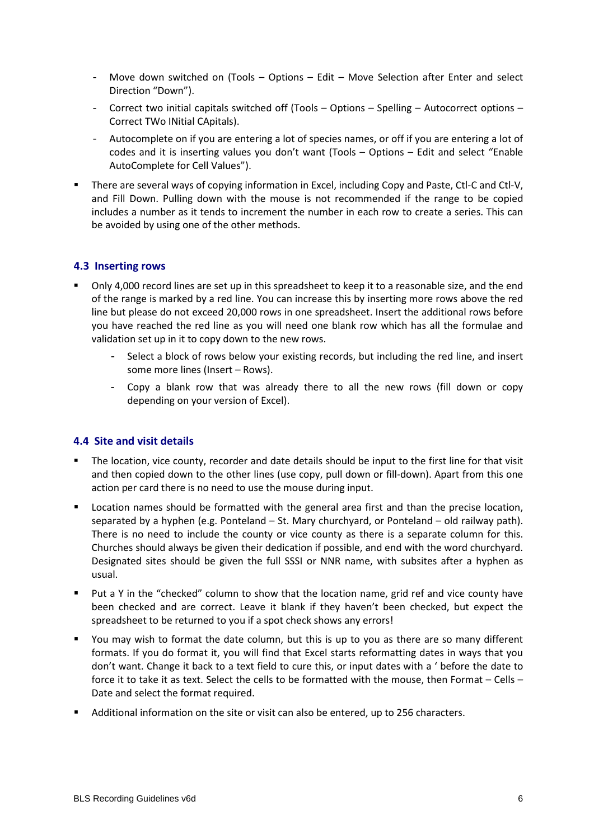- Move down switched on (Tools Options Edit Move Selection after Enter and select Direction "Down").
- Correct two initial capitals switched off (Tools Options Spelling Autocorrect options Correct TWo INitial CApitals).
- Autocomplete on if you are entering a lot of species names, or off if you are entering a lot of codes and it is inserting values you don't want (Tools – Options – Edit and select "Enable AutoComplete for Cell Values").
- There are several ways of copying information in Excel, including Copy and Paste, Ctl-C and Ctl-V. and Fill Down. Pulling down with the mouse is not recommended if the range to be copied includes a number as it tends to increment the number in each row to create a series. This can be avoided by using one of the other methods.

#### **4.3 Inserting rows**

- Only 4,000 record lines are set up in this spreadsheet to keep it to a reasonable size, and the end of the range is marked by a red line. You can increase this by inserting more rows above the red line but please do not exceed 20,000 rows in one spreadsheet. Insert the additional rows before you have reached the red line as you will need one blank row which has all the formulae and validation set up in it to copy down to the new rows.
	- Select a block of rows below your existing records, but including the red line, and insert some more lines (Insert – Rows).
	- Copy a blank row that was already there to all the new rows (fill down or copy depending on your version of Excel).

#### **4.4 Site and visit details**

- The location, vice county, recorder and date details should be input to the first line for that visit and then copied down to the other lines (use copy, pull down or fill-down). Apart from this one action per card there is no need to use the mouse during input.
- **Location names should be formatted with the general area first and than the precise location,** separated by a hyphen (e.g. Ponteland – St. Mary churchyard, or Ponteland – old railway path). There is no need to include the county or vice county as there is a separate column for this. Churches should always be given their dedication if possible, and end with the word churchyard. Designated sites should be given the full SSSI or NNR name, with subsites after a hyphen as usual.
- Put a Y in the "checked" column to show that the location name, grid ref and vice county have been checked and are correct. Leave it blank if they haven't been checked, but expect the spreadsheet to be returned to you if a spot check shows any errors!
- You may wish to format the date column, but this is up to you as there are so many different formats. If you do format it, you will find that Excel starts reformatting dates in ways that you don't want. Change it back to a text field to cure this, or input dates with a ' before the date to force it to take it as text. Select the cells to be formatted with the mouse, then Format – Cells – Date and select the format required.
- Additional information on the site or visit can also be entered, up to 256 characters.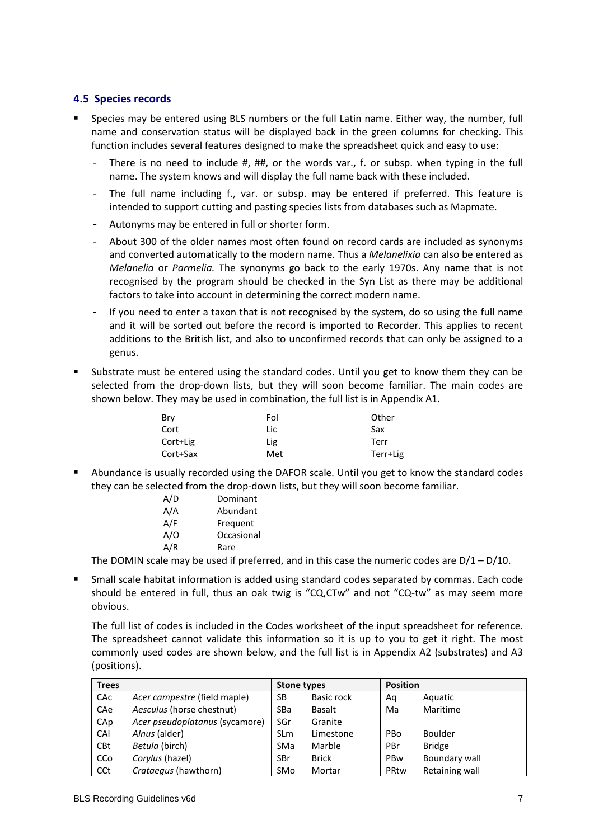#### **4.5 Species records**

- Species may be entered using BLS numbers or the full Latin name. Either way, the number, full name and conservation status will be displayed back in the green columns for checking. This function includes several features designed to make the spreadsheet quick and easy to use:
	- There is no need to include #, ##, or the words var., f. or subsp. when typing in the full name. The system knows and will display the full name back with these included.
	- The full name including f., var. or subsp. may be entered if preferred. This feature is intended to support cutting and pasting species lists from databases such as Mapmate.
	- Autonyms may be entered in full or shorter form.
	- About 300 of the older names most often found on record cards are included as synonyms and converted automatically to the modern name. Thus a *Melanelixia* can also be entered as *Melanelia* or *Parmelia.* The synonyms go back to the early 1970s. Any name that is not recognised by the program should be checked in the Syn List as there may be additional factors to take into account in determining the correct modern name.
	- If you need to enter a taxon that is not recognised by the system, do so using the full name and it will be sorted out before the record is imported to Recorder. This applies to recent additions to the British list, and also to unconfirmed records that can only be assigned to a genus.
- Substrate must be entered using the standard codes. Until you get to know them they can be selected from the drop-down lists, but they will soon become familiar. The main codes are shown below. They may be used in combination, the full list is in Appendix A1.

| Bry      | Fol | Other    |
|----------|-----|----------|
| Cort     | Lic | Sax      |
| Cort+Lig | Lig | Terr     |
| Cort+Sax | Met | Terr+Lig |

 Abundance is usually recorded using the DAFOR scale. Until you get to know the standard codes they can be selected from the drop-down lists, but they will soon become familiar.

| A/D | Dominant   |
|-----|------------|
| A/A | Abundant   |
| A/F | Frequent   |
| A/O | Occasional |
| A/R | Rare       |
|     |            |

The DOMIN scale may be used if preferred, and in this case the numeric codes are  $D/1 - D/10$ .

 Small scale habitat information is added using standard codes separated by commas. Each code should be entered in full, thus an oak twig is "CQ,CTw" and not "CQ-tw" as may seem more obvious.

The full list of codes is included in the Codes worksheet of the input spreadsheet for reference. The spreadsheet cannot validate this information so it is up to you to get it right. The most commonly used codes are shown below, and the full list is in Appendix A2 (substrates) and A3 (positions).

| <b>Trees</b> |                                | <b>Stone types</b> |              | <b>Position</b> |                |
|--------------|--------------------------------|--------------------|--------------|-----------------|----------------|
| CAc          | Acer campestre (field maple)   | SB                 | Basic rock   | Αq              | Aquatic        |
| CAe          | Aesculus (horse chestnut)      | SBa                | Basalt       | Ma              | Maritime       |
| CAp          | Acer pseudoplatanus (sycamore) | SGr                | Granite      |                 |                |
| CAI          | Alnus (alder)                  | <b>SLm</b>         | Limestone    | PBo             | Boulder        |
| <b>CBt</b>   | Betula (birch)                 | SMa                | Marble       | PBr             | <b>Bridge</b>  |
| CCo          | Corylus (hazel)                | SBr                | <b>Brick</b> | PBw             | Boundary wall  |
| CCt          | <i>Crataegus</i> (hawthorn)    | SMo                | Mortar       | PRtw            | Retaining wall |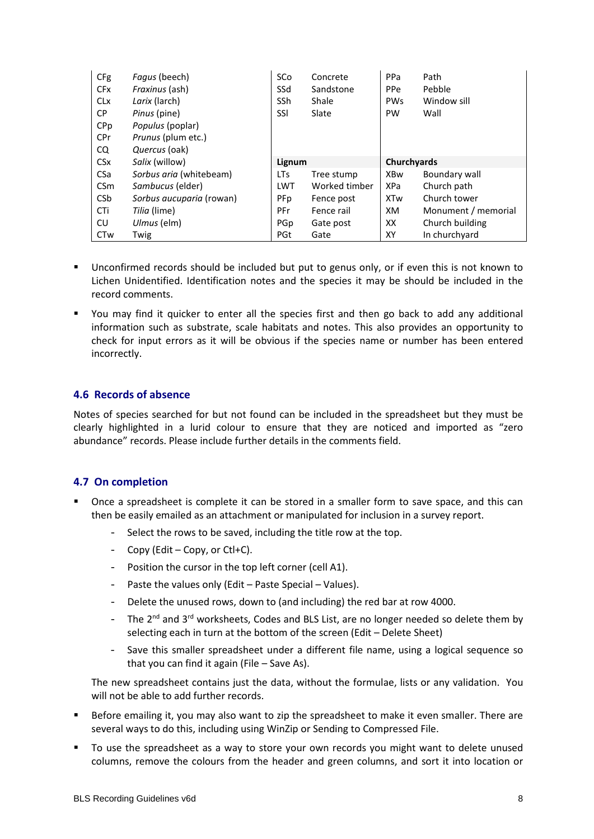| <b>CFg</b>            | Fagus (beech)             | SCo        | Concrete      | PPa                | Path                |
|-----------------------|---------------------------|------------|---------------|--------------------|---------------------|
| <b>CF<sub>x</sub></b> | Fraxinus (ash)            | SSd        | Sandstone     | PPe                | Pebble              |
| <b>CL<sub>x</sub></b> | Larix (larch)             | SSh        | Shale         | <b>PWs</b>         | Window sill         |
| СP                    | Pinus (pine)              | SSI        | Slate         | <b>PW</b>          | Wall                |
| CPp                   | Populus (poplar)          |            |               |                    |                     |
| <b>CPr</b>            | <i>Prunus</i> (plum etc.) |            |               |                    |                     |
| CQ.                   | Quercus (oak)             |            |               |                    |                     |
|                       |                           |            |               |                    |                     |
| <b>CS<sub>x</sub></b> | Salix (willow)            | Lignum     |               | <b>Churchyards</b> |                     |
| <b>CSa</b>            | Sorbus aria (whitebeam)   | <b>LTs</b> | Tree stump    | <b>XBw</b>         | Boundary wall       |
| <b>CSm</b>            | Sambucus (elder)          | <b>LWT</b> | Worked timber | <b>XPa</b>         | Church path         |
| <b>CSb</b>            | Sorbus aucuparia (rowan)  | PFp        | Fence post    | <b>XTw</b>         | Church tower        |
| CTi                   | Tilia (lime)              | PFr        | Fence rail    | XM.                | Monument / memorial |
| CU                    | Ulmus (elm)               | PGp        | Gate post     | XX                 | Church building     |

- Unconfirmed records should be included but put to genus only, or if even this is not known to Lichen Unidentified. Identification notes and the species it may be should be included in the record comments.
- You may find it quicker to enter all the species first and then go back to add any additional information such as substrate, scale habitats and notes. This also provides an opportunity to check for input errors as it will be obvious if the species name or number has been entered incorrectly.

#### **4.6 Records of absence**

Notes of species searched for but not found can be included in the spreadsheet but they must be clearly highlighted in a lurid colour to ensure that they are noticed and imported as "zero abundance" records. Please include further details in the comments field.

#### **4.7 On completion**

- Once a spreadsheet is complete it can be stored in a smaller form to save space, and this can then be easily emailed as an attachment or manipulated for inclusion in a survey report.
	- Select the rows to be saved, including the title row at the top.
	- $-$  Copy (Edit Copy, or Ctl+C).
	- Position the cursor in the top left corner (cell A1).
	- Paste the values only (Edit Paste Special Values).
	- Delete the unused rows, down to (and including) the red bar at row 4000.
	- The  $2^{nd}$  and  $3^{rd}$  worksheets, Codes and BLS List, are no longer needed so delete them by selecting each in turn at the bottom of the screen (Edit – Delete Sheet)
	- Save this smaller spreadsheet under a different file name, using a logical sequence so that you can find it again (File – Save As).

The new spreadsheet contains just the data, without the formulae, lists or any validation. You will not be able to add further records.

- Before emailing it, you may also want to zip the spreadsheet to make it even smaller. There are several ways to do this, including using WinZip or Sending to Compressed File.
- To use the spreadsheet as a way to store your own records you might want to delete unused columns, remove the colours from the header and green columns, and sort it into location or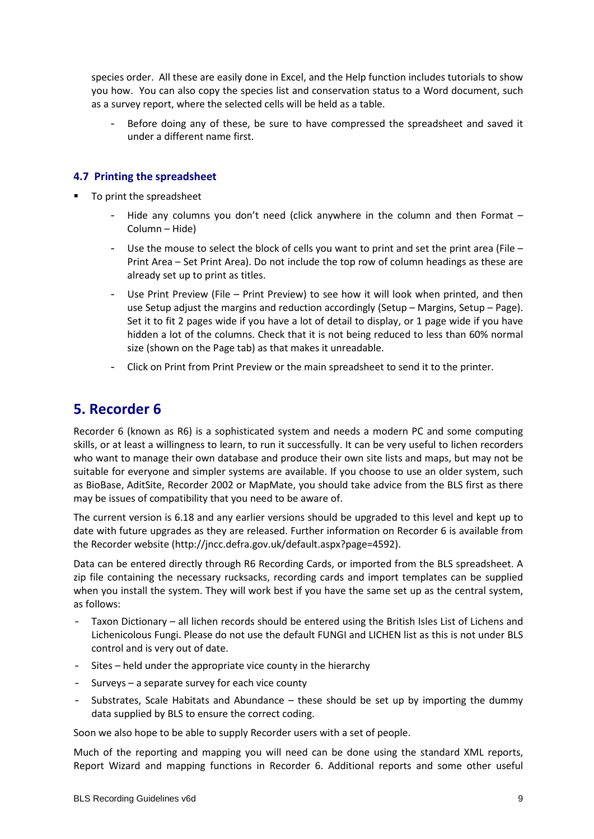species order. All these are easily done in Excel, and the Help function includes tutorials to show you how. You can also copy the species list and conservation status to a Word document, such as a survey report, where the selected cells will be held as a table.

Before doing any of these, be sure to have compressed the spreadsheet and saved it under a different name first.

#### **4.7 Printing the spreadsheet**

- To print the spreadsheet
	- Hide any columns you don't need (click anywhere in the column and then Format  $-$ Column – Hide)
	- Use the mouse to select the block of cells you want to print and set the print area (File  $-$ Print Area – Set Print Area). Do not include the top row of column headings as these are already set up to print as titles.
	- Use Print Preview (File Print Preview) to see how it will look when printed, and then use Setup adjust the margins and reduction accordingly (Setup – Margins, Setup – Page). Set it to fit 2 pages wide if you have a lot of detail to display, or 1 page wide if you have hidden a lot of the columns. Check that it is not being reduced to less than 60% normal size (shown on the Page tab) as that makes it unreadable.
	- Click on Print from Print Preview or the main spreadsheet to send it to the printer.

# **5. Recorder 6**

Recorder 6 (known as R6) is a sophisticated system and needs a modern PC and some computing skills, or at least a willingness to learn, to run it successfully. It can be very useful to lichen recorders who want to manage their own database and produce their own site lists and maps, but may not be suitable for everyone and simpler systems are available. If you choose to use an older system, such as BioBase, AditSite, Recorder 2002 or MapMate, you should take advice from the BLS first as there may be issues of compatibility that you need to be aware of.

The current version is 6.18 and any earlier versions should be upgraded to this level and kept up to date with future upgrades as they are released. Further information on Recorder 6 is available from the Recorder website [\(http://jncc.defra.gov.uk/default.aspx?page=4592\)](http://jncc.defra.gov.uk/default.aspx?page=4592).

Data can be entered directly through R6 Recording Cards, or imported from the BLS spreadsheet. A zip file containing the necessary rucksacks, recording cards and import templates can be supplied when you install the system. They will work best if you have the same set up as the central system, as follows:

- Taxon Dictionary all lichen records should be entered using the British Isles List of Lichens and Lichenicolous Fungi. Please do not use the default FUNGI and LICHEN list as this is not under BLS control and is very out of date.
- Sites held under the appropriate vice county in the hierarchy
- Surveys a separate survey for each vice county
- Substrates, Scale Habitats and Abundance these should be set up by importing the dummy data supplied by BLS to ensure the correct coding.

Soon we also hope to be able to supply Recorder users with a set of people.

Much of the reporting and mapping you will need can be done using the standard XML reports, Report Wizard and mapping functions in Recorder 6. Additional reports and some other useful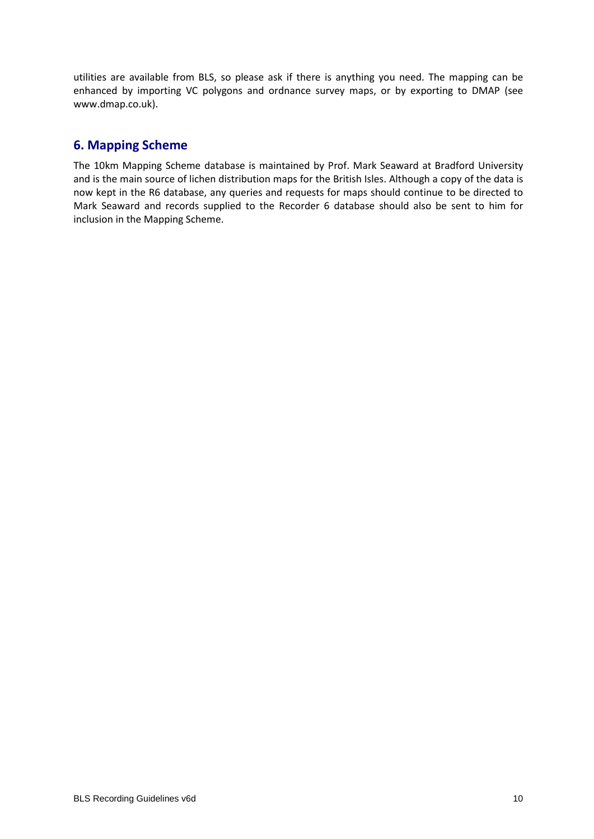utilities are available from BLS, so please ask if there is anything you need. The mapping can be enhanced by importing VC polygons and ordnance survey maps, or by exporting to DMAP (see www.dmap.co.uk).

### **6. Mapping Scheme**

The 10km Mapping Scheme database is maintained by Prof. Mark Seaward at Bradford University and is the main source of lichen distribution maps for the British Isles. Although a copy of the data is now kept in the R6 database, any queries and requests for maps should continue to be directed to Mark Seaward and records supplied to the Recorder 6 database should also be sent to him for inclusion in the Mapping Scheme.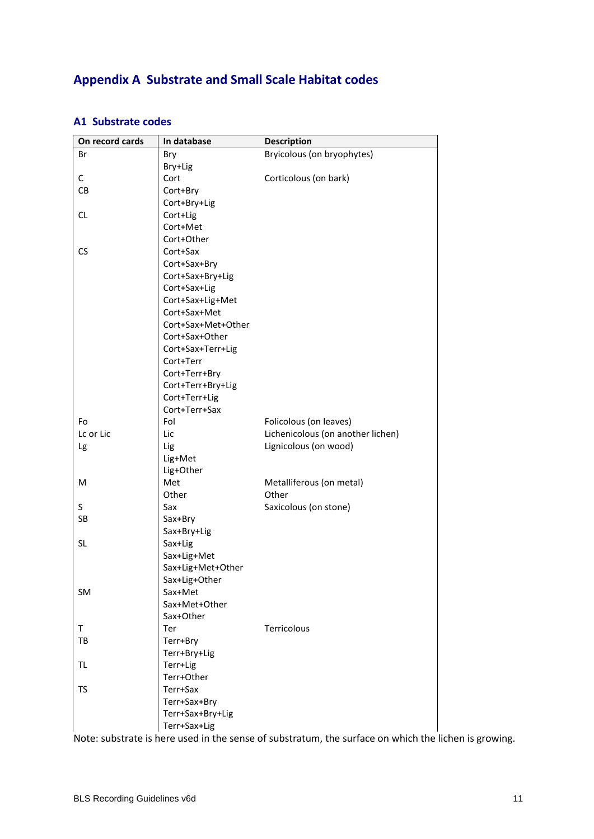# **Appendix A Substrate and Small Scale Habitat codes**

#### **A1 Substrate codes**

| On record cards | In database        | <b>Description</b>                |
|-----------------|--------------------|-----------------------------------|
| Br              | <b>Bry</b>         | Bryicolous (on bryophytes)        |
|                 | Bry+Lig            |                                   |
| C               | Cort               | Corticolous (on bark)             |
| CB              | Cort+Bry           |                                   |
|                 | Cort+Bry+Lig       |                                   |
| <b>CL</b>       | Cort+Lig           |                                   |
|                 | Cort+Met           |                                   |
|                 | Cort+Other         |                                   |
| <b>CS</b>       | Cort+Sax           |                                   |
|                 | Cort+Sax+Bry       |                                   |
|                 | Cort+Sax+Bry+Lig   |                                   |
|                 | Cort+Sax+Lig       |                                   |
|                 | Cort+Sax+Lig+Met   |                                   |
|                 | Cort+Sax+Met       |                                   |
|                 | Cort+Sax+Met+Other |                                   |
|                 | Cort+Sax+Other     |                                   |
|                 | Cort+Sax+Terr+Lig  |                                   |
|                 | Cort+Terr          |                                   |
|                 | Cort+Terr+Bry      |                                   |
|                 | Cort+Terr+Bry+Lig  |                                   |
|                 | Cort+Terr+Lig      |                                   |
|                 | Cort+Terr+Sax      |                                   |
| Fo              | Fol                | Folicolous (on leaves)            |
| Lc or Lic       | Lic                | Lichenicolous (on another lichen) |
| Lg              | Lig                | Lignicolous (on wood)             |
|                 | Lig+Met            |                                   |
|                 | Lig+Other          |                                   |
| M               | Met                | Metalliferous (on metal)          |
|                 | Other              | Other                             |
| S               | Sax                | Saxicolous (on stone)             |
| SB              | Sax+Bry            |                                   |
|                 | Sax+Bry+Lig        |                                   |
| <b>SL</b>       | Sax+Lig            |                                   |
|                 | Sax+Lig+Met        |                                   |
|                 | Sax+Lig+Met+Other  |                                   |
|                 | Sax+Lig+Other      |                                   |
| SM              | Sax+Met            |                                   |
|                 | Sax+Met+Other      |                                   |
|                 | Sax+Other          |                                   |
| T               | Ter                | Terricolous                       |
| TB              | Terr+Bry           |                                   |
|                 | Terr+Bry+Lig       |                                   |
| <b>TL</b>       | Terr+Lig           |                                   |
|                 | Terr+Other         |                                   |
| <b>TS</b>       | Terr+Sax           |                                   |
|                 | Terr+Sax+Bry       |                                   |
|                 | Terr+Sax+Bry+Lig   |                                   |
|                 | Terr+Sax+Lig       |                                   |

Note: substrate is here used in the sense of substratum, the surface on which the lichen is growing.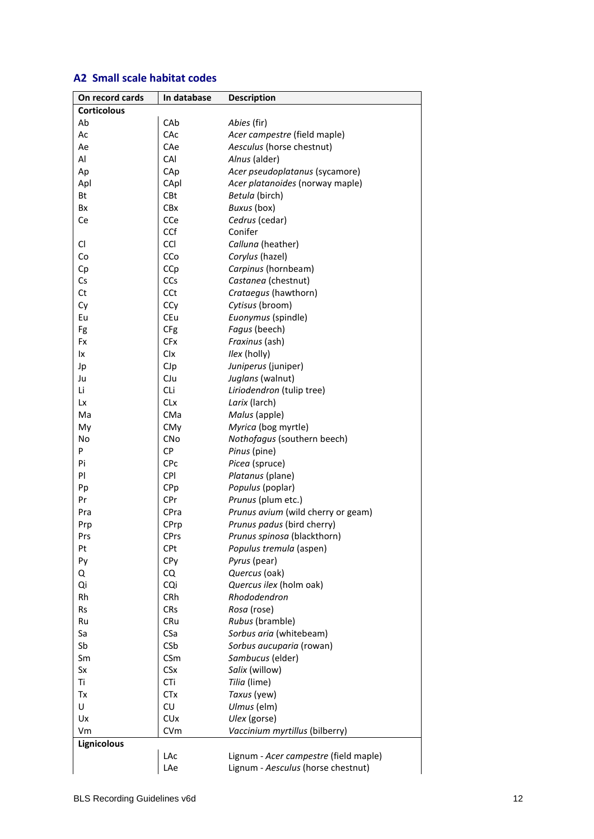### **A2 Small scale habitat codes**

| On record cards    | In database           | <b>Description</b>                    |
|--------------------|-----------------------|---------------------------------------|
| <b>Corticolous</b> |                       |                                       |
| Ab                 | CAb                   | Abies (fir)                           |
| Ac                 | CAc                   | Acer campestre (field maple)          |
| Ae                 | CAe                   | Aesculus (horse chestnut)             |
| Al                 | CAI                   | Alnus (alder)                         |
| Ap                 | CAp                   | Acer pseudoplatanus (sycamore)        |
| Apl                | CApl                  | Acer platanoides (norway maple)       |
| Bt                 | CBt                   | Betula (birch)                        |
| Bx                 | <b>CBx</b>            | Buxus (box)                           |
| Ce                 | CCe                   | Cedrus (cedar)                        |
|                    | CCf                   | Conifer                               |
| CI                 | <b>CCI</b>            | Calluna (heather)                     |
| Co                 | CCo                   | Corylus (hazel)                       |
| Сp                 | CCp                   | Carpinus (hornbeam)                   |
| Cs                 | CCs                   | Castanea (chestnut)                   |
| Ct                 | CCt                   | Crataegus (hawthorn)                  |
| Cy                 | CCy                   | Cytisus (broom)                       |
| Eu                 | CEu                   | Euonymus (spindle)                    |
| Fg                 | CFg                   | Fagus (beech)                         |
| Fx                 | <b>CFx</b>            | Fraxinus (ash)                        |
| lχ                 | Clx                   | Ilex (holly)                          |
| Jp                 | CJp                   | Juniperus (juniper)                   |
| Ju                 | CJu                   | Juglans (walnut)                      |
| Li                 | CLi                   | Liriodendron (tulip tree)             |
| Lx                 | <b>CLx</b>            | Larix (larch)                         |
| Ma                 | CMa                   | Malus (apple)                         |
| My                 | CMy                   | Myrica (bog myrtle)                   |
| No                 | <b>CNo</b>            | Nothofagus (southern beech)           |
| P                  | <b>CP</b>             | Pinus (pine)                          |
| Pi                 | CPc                   | Picea (spruce)                        |
| PI                 | <b>CPI</b>            | Platanus (plane)                      |
| Pp                 | CPp                   | Populus (poplar)                      |
| Pr                 | CPr                   | Prunus (plum etc.)                    |
| Pra                | CPra                  | Prunus avium (wild cherry or geam)    |
| Prp                | CPrp                  | Prunus padus (bird cherry)            |
| Prs                | <b>CPrs</b>           | Prunus spinosa (blackthorn)           |
| Pt                 | <b>CPt</b>            | Populus tremula (aspen)               |
| Py                 | CPy                   | Pyrus (pear)                          |
| Q                  | CQ                    | Quercus (oak)                         |
| Qi                 | CQi                   | Quercus ilex (holm oak)               |
| Rh                 | CRh                   | Rhododendron                          |
| Rs                 | <b>CRs</b>            | Rosa (rose)                           |
| Ru                 | CRu                   | Rubus (bramble)                       |
| Sa                 | CSa                   | Sorbus aria (whitebeam)               |
| Sb                 | CSb                   | Sorbus aucuparia (rowan)              |
| Sm                 | CSm                   | Sambucus (elder)                      |
| Sx                 | <b>CSx</b>            | Salix (willow)                        |
| Τi                 | CTi                   | Tilia (lime)                          |
| Tx                 | <b>CTx</b>            | Taxus (yew)                           |
| U                  | CU                    | Ulmus (elm)                           |
| Ux                 | <b>CU<sub>x</sub></b> | Ulex (gorse)                          |
| Vm                 | CVm                   | Vaccinium myrtillus (bilberry)        |
| Lignicolous        |                       |                                       |
|                    | LAc                   | Lignum - Acer campestre (field maple) |
|                    | LAe                   | Lignum - Aesculus (horse chestnut)    |
|                    |                       |                                       |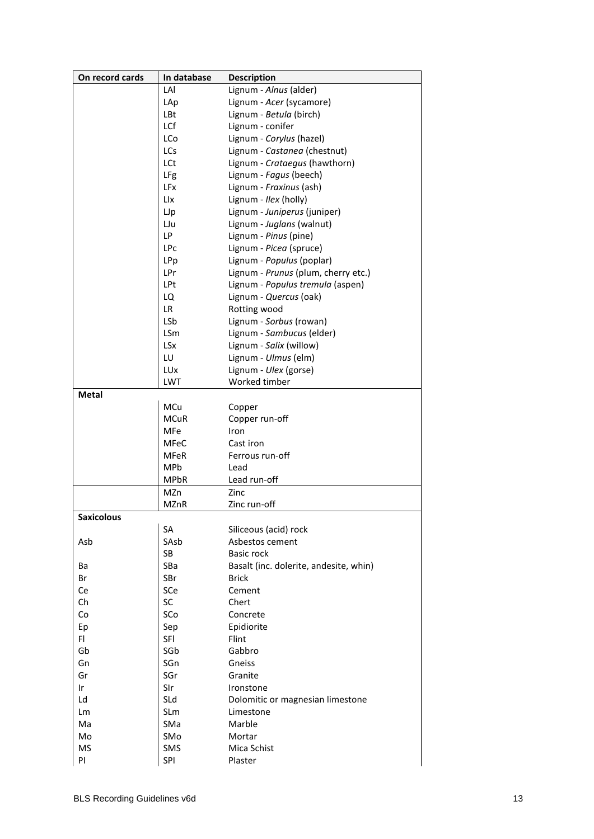| On record cards | In database       | <b>Description</b>                     |
|-----------------|-------------------|----------------------------------------|
|                 | LAI               | Lignum - Alnus (alder)                 |
|                 | LAp               | Lignum - Acer (sycamore)               |
|                 | LBt               | Lignum - Betula (birch)                |
|                 | LCf               | Lignum - conifer                       |
|                 | LCo               | Lignum - Corylus (hazel)               |
|                 | <b>LCs</b>        | Lignum - Castanea (chestnut)           |
|                 | LCt               | Lignum - Crataegus (hawthorn)          |
|                 | LFg               | Lignum - Fagus (beech)                 |
|                 | LFx               | Lignum - Fraxinus (ash)                |
|                 | Llx               | Lignum - Ilex (holly)                  |
|                 | LJp               | Lignum - Juniperus (juniper)           |
|                 | LJu               | Lignum - Juglans (walnut)              |
|                 | LP.               | Lignum - Pinus (pine)                  |
|                 | LPc               | Lignum - Picea (spruce)                |
|                 | LPp               | Lignum - Populus (poplar)              |
|                 | LPr               | Lignum - Prunus (plum, cherry etc.)    |
|                 | LPt               | Lignum - Populus tremula (aspen)       |
|                 | LQ                | Lignum - Quercus (oak)                 |
|                 | LR.               | Rotting wood                           |
|                 | LSb               | Lignum - Sorbus (rowan)                |
|                 | LSm               | Lignum - Sambucus (elder)              |
|                 | <b>LSx</b>        | Lignum - Salix (willow)                |
|                 | LU                | Lignum - Ulmus (elm)                   |
|                 |                   |                                        |
|                 | LUx<br><b>LWT</b> | Lignum - Ulex (gorse)<br>Worked timber |
| <b>Metal</b>    |                   |                                        |
|                 |                   |                                        |
|                 | MCu               | Copper                                 |
|                 | <b>MCuR</b>       | Copper run-off                         |
|                 | MFe               | Iron                                   |
|                 | <b>MFeC</b>       | Cast iron                              |
|                 | <b>MFeR</b>       | Ferrous run-off                        |
|                 | MPb               | Lead                                   |
|                 | <b>MPbR</b>       | Lead run-off                           |
|                 | MZn               | Zinc                                   |
|                 | <b>MZnR</b>       | Zinc run-off                           |
| Saxicolous      |                   |                                        |
|                 | SA                | Siliceous (acid) rock                  |
| Asb             | SAsb              | Asbestos cement                        |
|                 | SB                | <b>Basic rock</b>                      |
| Ba              | SBa               | Basalt (inc. dolerite, andesite, whin) |
| Br              | SBr               | <b>Brick</b>                           |
| Ce              | SCe               | Cement                                 |
| Ch              | SC                | Chert                                  |
| Co              | SCo               | Concrete                               |
| Ep              | Sep               | Epidiorite                             |
| FI              | SFI               | Flint                                  |
| Gb              | SGb               | Gabbro                                 |
| Gn              | SGn               | Gneiss                                 |
| Gr              | SGr               | Granite                                |
| Ir              | SIr               | Ironstone                              |
| Ld              | SLd               | Dolomitic or magnesian limestone       |
| Lm              | SLm               | Limestone                              |
| Ma              | SMa               | Marble                                 |
| Mo              | SMo               | Mortar                                 |
| ΜS              | SMS               | Mica Schist                            |
| PI              | SPI               | Plaster                                |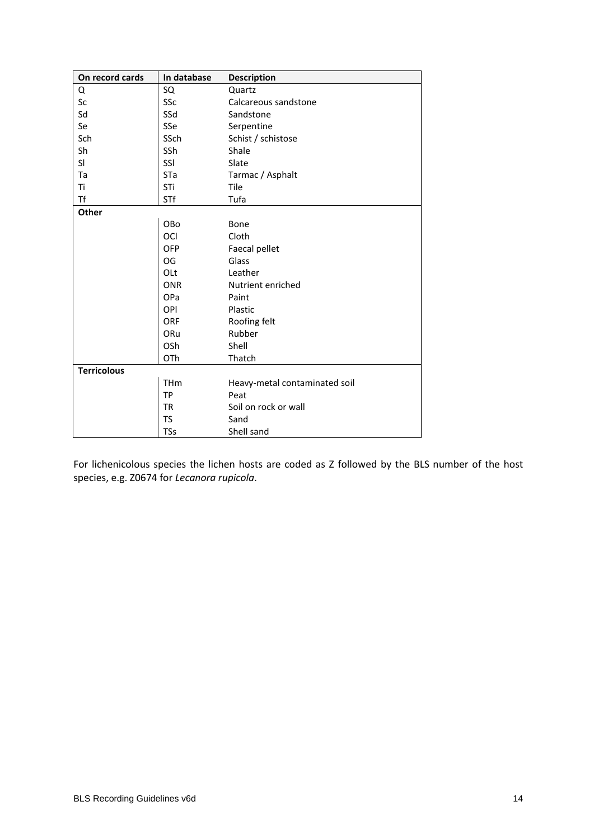| On record cards    | In database | <b>Description</b>            |
|--------------------|-------------|-------------------------------|
| Q                  | SQ          | Quartz                        |
| Sc                 | SSc         | Calcareous sandstone          |
| Sd                 | SSd         | Sandstone                     |
| Se                 | SSe         | Serpentine                    |
| Sch                | SSch        | Schist / schistose            |
| Sh                 | SSh         | Shale                         |
| SI                 | SSI         | Slate                         |
| Ta                 | STa         | Tarmac / Asphalt              |
| Τi                 | STi         | Tile                          |
| Tf                 | STf         | Tufa                          |
| <b>Other</b>       |             |                               |
|                    | OBo         | Bone                          |
|                    | OCI         | Cloth                         |
|                    | <b>OFP</b>  | Faecal pellet                 |
|                    | OG          | Glass                         |
|                    | OLt         | Leather                       |
|                    | <b>ONR</b>  | Nutrient enriched             |
|                    | OPa         | Paint                         |
|                    | OPI         | Plastic                       |
|                    | <b>ORF</b>  | Roofing felt                  |
|                    | ORu         | Rubber                        |
|                    | OSh         | Shell                         |
|                    | OTh         | Thatch                        |
| <b>Terricolous</b> |             |                               |
|                    | <b>THm</b>  | Heavy-metal contaminated soil |
|                    | <b>TP</b>   | Peat                          |
|                    | <b>TR</b>   | Soil on rock or wall          |
|                    | TS          | Sand                          |
|                    | <b>TSs</b>  | Shell sand                    |

For lichenicolous species the lichen hosts are coded as Z followed by the BLS number of the host species, e.g. Z0674 for *Lecanora rupicola*.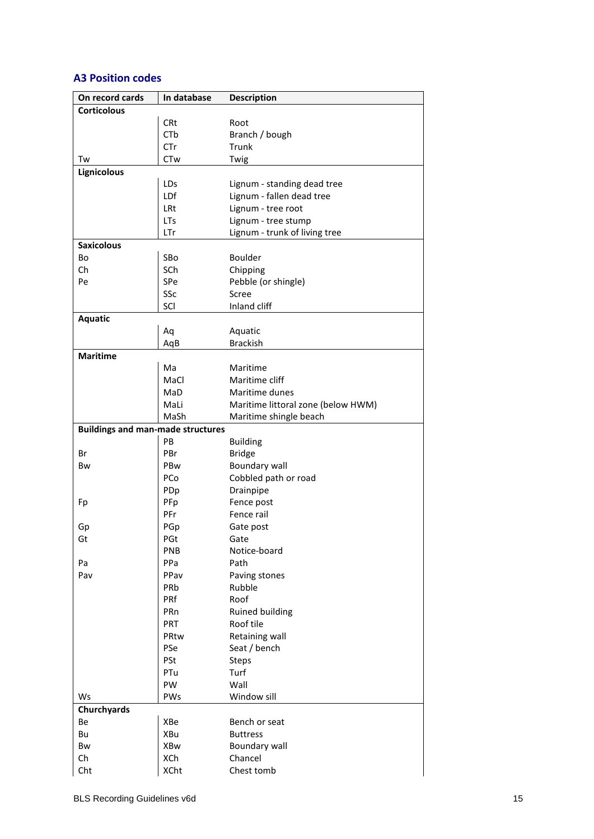## **A3 Position codes**

| On record cards                          | In database | <b>Description</b>                 |
|------------------------------------------|-------------|------------------------------------|
| <b>Corticolous</b>                       |             |                                    |
|                                          | <b>CRt</b>  | Root                               |
|                                          | CTb         | Branch / bough                     |
|                                          | CTr         | Trunk                              |
| Tw                                       | <b>CTw</b>  | Twig                               |
| Lignicolous                              |             |                                    |
|                                          | LDs         | Lignum - standing dead tree        |
|                                          |             | Lignum - fallen dead tree          |
|                                          | LDf         |                                    |
|                                          | LRt         | Lignum - tree root                 |
|                                          | <b>LTs</b>  | Lignum - tree stump                |
|                                          | LTr         | Lignum - trunk of living tree      |
| <b>Saxicolous</b>                        |             |                                    |
| Bo                                       | SBo         | Boulder                            |
| Ch                                       | SCh         | Chipping                           |
| Pe                                       | SPe         | Pebble (or shingle)                |
|                                          | SSc         | Scree                              |
|                                          | SCI         | Inland cliff                       |
| <b>Aquatic</b>                           |             |                                    |
|                                          | Aq          | Aquatic                            |
|                                          | AqB         | <b>Brackish</b>                    |
| <b>Maritime</b>                          |             |                                    |
|                                          | Ma          | Maritime                           |
|                                          | MaCl        | Maritime cliff                     |
|                                          | MaD         | Maritime dunes                     |
|                                          | MaLi        |                                    |
|                                          |             | Maritime littoral zone (below HWM) |
|                                          | MaSh        | Maritime shingle beach             |
| <b>Buildings and man-made structures</b> |             |                                    |
|                                          | PB          | <b>Building</b>                    |
| Br                                       | PBr         | <b>Bridge</b>                      |
| Bw                                       | PBw         | <b>Boundary wall</b>               |
|                                          | PCo         | Cobbled path or road               |
|                                          | PDp         | Drainpipe                          |
| Fp                                       | PFp         | Fence post                         |
|                                          | PFr         | Fence rail                         |
| Gp                                       | PGp         | Gate post                          |
| Gt                                       | PGt         | Gate                               |
|                                          | <b>PNB</b>  | Notice-board                       |
| Pa                                       | PPa         | Path                               |
| Pav                                      | PPav        | Paving stones                      |
|                                          | PRb         | Rubble                             |
|                                          | PRf         | Roof                               |
|                                          | PRn         | Ruined building                    |
|                                          |             |                                    |
|                                          |             |                                    |
|                                          | <b>PRT</b>  | Roof tile                          |
|                                          | PRtw        | Retaining wall                     |
|                                          | PSe         | Seat / bench                       |
|                                          | PSt         | <b>Steps</b>                       |
|                                          | PTu         | Turf                               |
|                                          | PW          | Wall                               |
|                                          | PWs         | Window sill                        |
|                                          |             |                                    |
| Ws<br>Churchyards<br>Be                  | XBe         | Bench or seat                      |
| Bu                                       | XBu         | <b>Buttress</b>                    |
|                                          |             |                                    |
| Bw<br>Ch                                 | XBw<br>XCh  | Boundary wall<br>Chancel           |